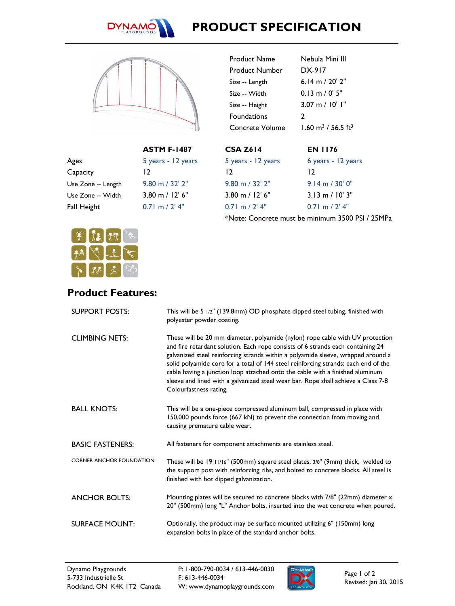

## **PRODUCT SPECIFICATION**



|                    | <b>ASTM F-1487</b>  |
|--------------------|---------------------|
| Ages               | 5 years - 12 years  |
| Capacity           | 12                  |
| Use Zone -- Length | $9.80$ m $/$ 32' 2" |
| Use Zone -- Width  | $3.80$ m $/$ 12' 6" |
| Fall Height        | $0.71$ m $/2'$ 4"   |
|                    |                     |

| <b>CSA Z614</b>     | FN 1176                                   |
|---------------------|-------------------------------------------|
| Concrete Volume     | $1.60 \text{ m}^3$ / 56.5 ft <sup>3</sup> |
| <b>Foundations</b>  | 2                                         |
| Size -- Height      | $3.07 \text{ m} / 10'$ I"                 |
| Size -- Width       | $0.13 \text{ m} / 0' 5''$                 |
| Size -- Length      | 6.14 m / 20' 2"                           |
| Product Number      | DX-917                                    |
| <b>Product Name</b> | Nebula Mini III                           |
|                     |                                           |

| 5 years - 12 years  | 6 years - 12 years        |
|---------------------|---------------------------|
| 12                  | 12                        |
| $9.80$ m $/$ 32' 2" | $9.14 \text{ m} / 30'$ 0" |
| $3.80$ m $/$ 12' 6" | $3.13 \text{ m} / 10'$ 3" |
| $0.71$ m $/2'$ 4"   | $0.71$ m $/2'$ 4"         |

\*Note: Concrete must be minimum 3500 PSI / 25MPa



## **Product Features:**

| <b>SUPPORT POSTS:</b>            | This will be 5 1/2" (139.8mm) OD phosphate dipped steel tubing, finished with<br>polyester powder coating.                                                                                                                                                                                                                                                                                                                                                                                                                                 |
|----------------------------------|--------------------------------------------------------------------------------------------------------------------------------------------------------------------------------------------------------------------------------------------------------------------------------------------------------------------------------------------------------------------------------------------------------------------------------------------------------------------------------------------------------------------------------------------|
| <b>CLIMBING NETS:</b>            | These will be 20 mm diameter, polyamide (nylon) rope cable with UV protection<br>and fire retardant solution. Each rope consists of 6 strands each containing 24<br>galvanized steel reinforcing strands within a polyamide sleeve, wrapped around a<br>solid polyamide core for a total of 144 steel reinforcing strands; each end of the<br>cable having a junction loop attached onto the cable with a finished aluminum<br>sleeve and lined with a galvanized steel wear bar. Rope shall achieve a Class 7-8<br>Colourfastness rating. |
| <b>BALL KNOTS:</b>               | This will be a one-piece compressed aluminum ball, compressed in place with<br>150,000 pounds force (667 kN) to prevent the connection from moving and<br>causing premature cable wear.                                                                                                                                                                                                                                                                                                                                                    |
| <b>BASIC FASTENERS:</b>          | All fasteners for component attachments are stainless steel.                                                                                                                                                                                                                                                                                                                                                                                                                                                                               |
| <b>CORNER ANCHOR FOUNDATION:</b> | These will be 19 11/16" (500mm) square steel plates, 3/8" (9mm) thick, welded to<br>the support post with reinforcing ribs, and bolted to concrete blocks. All steel is<br>finished with hot dipped galvanization.                                                                                                                                                                                                                                                                                                                         |
| <b>ANCHOR BOLTS:</b>             | Mounting plates will be secured to concrete blocks with 7/8" (22mm) diameter x<br>20" (500mm) long "L" Anchor bolts, inserted into the wet concrete when poured.                                                                                                                                                                                                                                                                                                                                                                           |
| <b>SURFACE MOUNT:</b>            | Optionally, the product may be surface mounted utilizing 6" (150mm) long<br>expansion bolts in place of the standard anchor bolts.                                                                                                                                                                                                                                                                                                                                                                                                         |